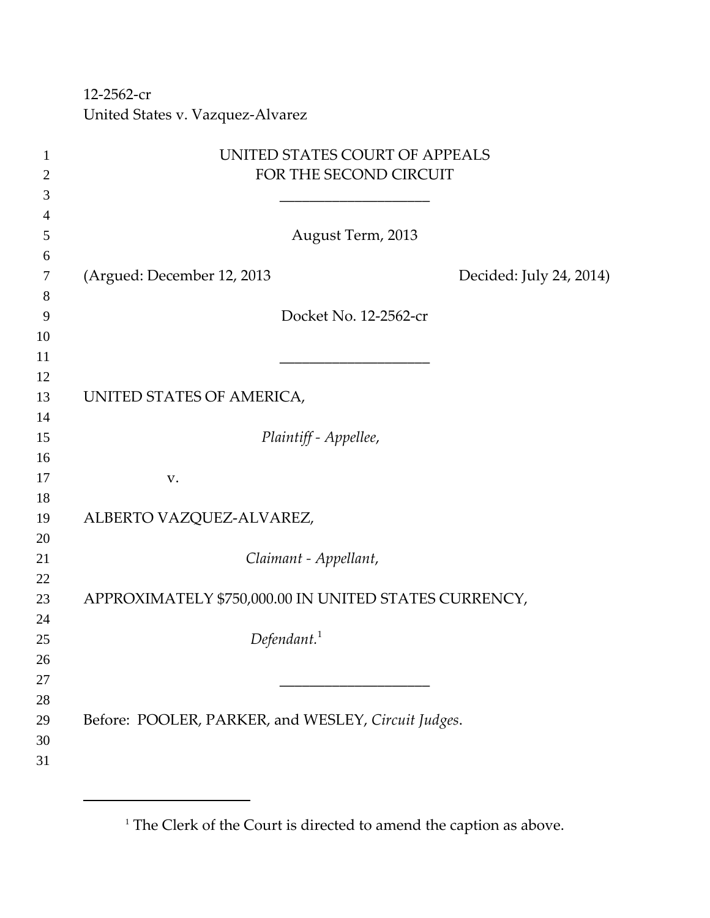‐2562‐cr United States v. Vazquez‐Alvarez

| 1              | UNITED STATES COURT OF APPEALS                        |
|----------------|-------------------------------------------------------|
| $\overline{2}$ | FOR THE SECOND CIRCUIT                                |
| 3              |                                                       |
| 4              |                                                       |
| 5              | August Term, 2013                                     |
| 6              |                                                       |
| $\tau$         | (Argued: December 12, 2013<br>Decided: July 24, 2014) |
| 8              |                                                       |
| 9              | Docket No. 12-2562-cr                                 |
| 10             |                                                       |
| 11             |                                                       |
| 12             |                                                       |
| 13             | UNITED STATES OF AMERICA,                             |
| 14             |                                                       |
| 15             | Plaintiff - Appellee,                                 |
| 16             |                                                       |
| 17             | V.                                                    |
| 18             |                                                       |
| 19             | ALBERTO VAZQUEZ-ALVAREZ,                              |
| 20             |                                                       |
| 21             | Claimant - Appellant,                                 |
| 22             |                                                       |
| 23             | APPROXIMATELY \$750,000.00 IN UNITED STATES CURRENCY, |
| 24             |                                                       |
| 25             | Defendant. <sup>1</sup>                               |
| 26<br>27       |                                                       |
| 28             |                                                       |
| 29             | Before: POOLER, PARKER, and WESLEY, Circuit Judges.   |
| 30             |                                                       |
| 31             |                                                       |
|                |                                                       |

<sup>&</sup>lt;sup>1</sup> The Clerk of the Court is directed to amend the caption as above.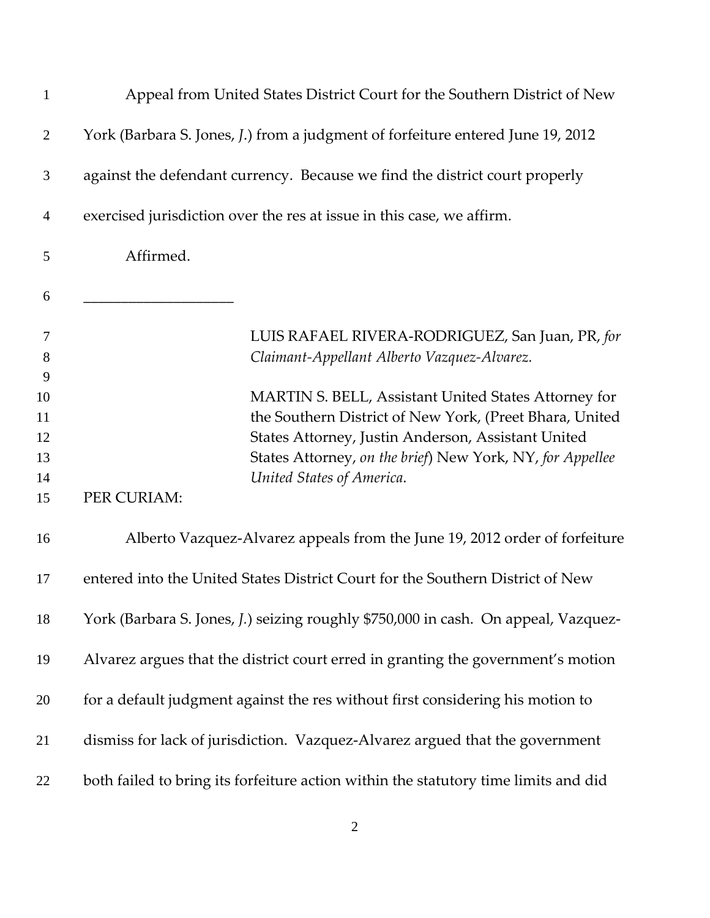| $\mathbf{1}$                    | Appeal from United States District Court for the Southern District of New                                                                                                                                                                                       |
|---------------------------------|-----------------------------------------------------------------------------------------------------------------------------------------------------------------------------------------------------------------------------------------------------------------|
| $\overline{2}$                  | York (Barbara S. Jones, J.) from a judgment of forfeiture entered June 19, 2012                                                                                                                                                                                 |
| 3                               | against the defendant currency. Because we find the district court properly                                                                                                                                                                                     |
| 4                               | exercised jurisdiction over the res at issue in this case, we affirm.                                                                                                                                                                                           |
| 5                               | Affirmed.                                                                                                                                                                                                                                                       |
| 6                               |                                                                                                                                                                                                                                                                 |
| $\overline{7}$<br>8             | LUIS RAFAEL RIVERA-RODRIGUEZ, San Juan, PR, for<br>Claimant-Appellant Alberto Vazquez-Alvarez.                                                                                                                                                                  |
| 9<br>10<br>11<br>12<br>13<br>14 | MARTIN S. BELL, Assistant United States Attorney for<br>the Southern District of New York, (Preet Bhara, United<br>States Attorney, Justin Anderson, Assistant United<br>States Attorney, on the brief) New York, NY, for Appellee<br>United States of America. |
| 15                              | PER CURIAM:                                                                                                                                                                                                                                                     |
| 16                              | Alberto Vazquez-Alvarez appeals from the June 19, 2012 order of forfeiture                                                                                                                                                                                      |
| 17                              | entered into the United States District Court for the Southern District of New                                                                                                                                                                                  |
| 18                              | York (Barbara S. Jones, J.) seizing roughly \$750,000 in cash. On appeal, Vazquez-                                                                                                                                                                              |
| 19                              | Alvarez argues that the district court erred in granting the government's motion                                                                                                                                                                                |
| 20                              | for a default judgment against the res without first considering his motion to                                                                                                                                                                                  |
| 21                              | dismiss for lack of jurisdiction. Vazquez-Alvarez argued that the government                                                                                                                                                                                    |
| 22                              | both failed to bring its forfeiture action within the statutory time limits and did                                                                                                                                                                             |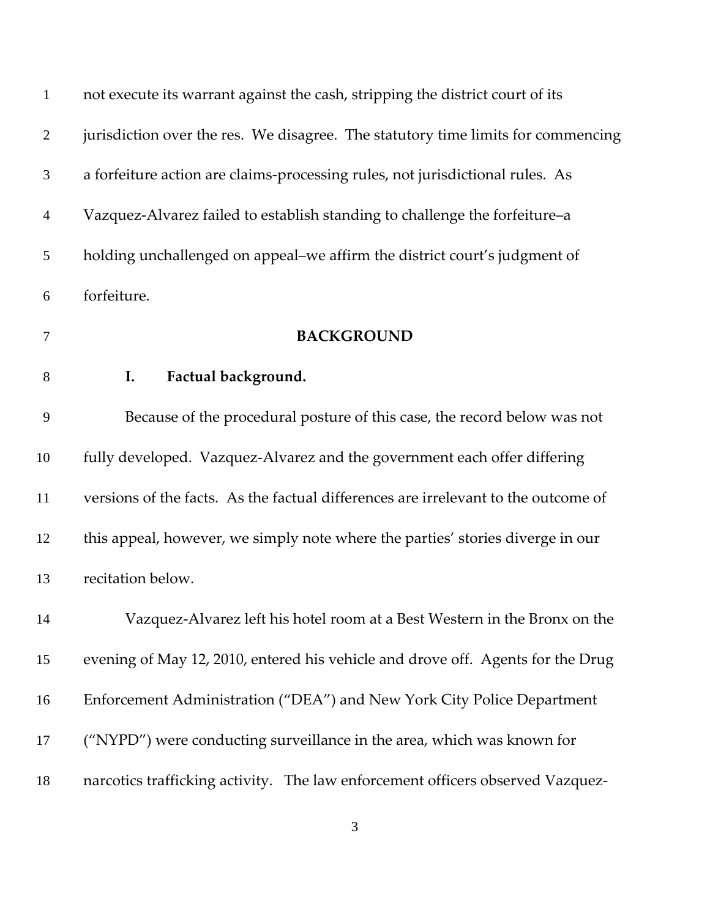| $\mathbf{1}$   | not execute its warrant against the cash, stripping the district court of its      |
|----------------|------------------------------------------------------------------------------------|
| $\overline{2}$ | jurisdiction over the res. We disagree. The statutory time limits for commencing   |
| 3              | a forfeiture action are claims-processing rules, not jurisdictional rules. As      |
| $\overline{4}$ | Vazquez-Alvarez failed to establish standing to challenge the forfeiture-a         |
| $\mathfrak{S}$ | holding unchallenged on appeal-we affirm the district court's judgment of          |
| 6              | forfeiture.                                                                        |
| $\overline{7}$ | <b>BACKGROUND</b>                                                                  |
| $8\,$          | Factual background.<br>I.                                                          |
| 9              | Because of the procedural posture of this case, the record below was not           |
| 10             | fully developed. Vazquez-Alvarez and the government each offer differing           |
| 11             | versions of the facts. As the factual differences are irrelevant to the outcome of |
| 12             | this appeal, however, we simply note where the parties' stories diverge in our     |
| 13             | recitation below.                                                                  |
| 14             | Vazquez-Alvarez left his hotel room at a Best Western in the Bronx on the          |
| 15             | evening of May 12, 2010, entered his vehicle and drove off. Agents for the Drug    |
| 16             | Enforcement Administration ("DEA") and New York City Police Department             |
| 17             | ("NYPD") were conducting surveillance in the area, which was known for             |
| 18             | narcotics trafficking activity. The law enforcement officers observed Vazquez-     |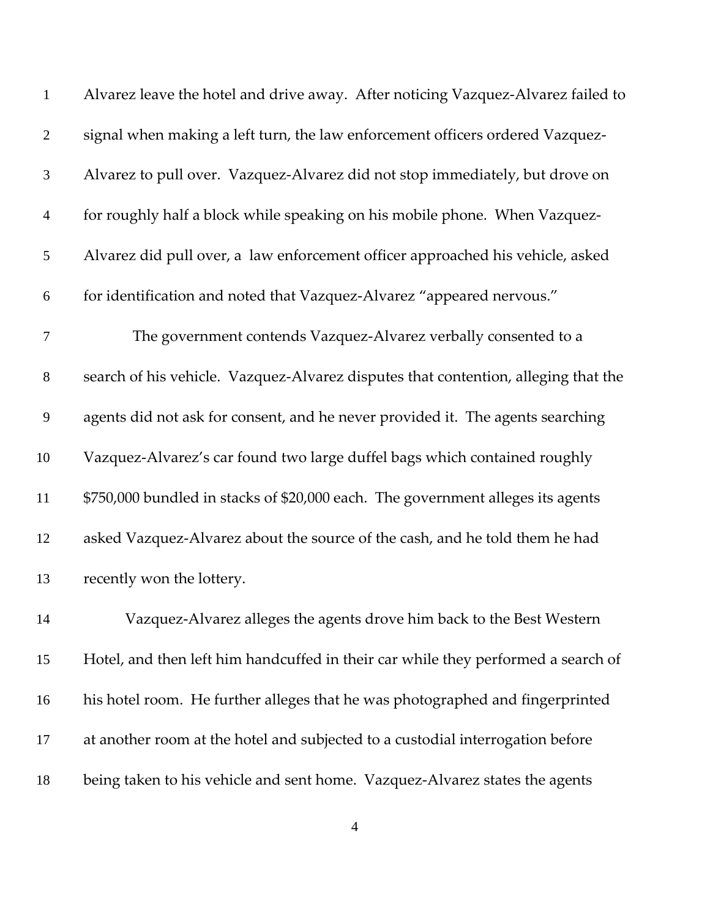| $\mathbf{1}$   | Alvarez leave the hotel and drive away. After noticing Vazquez-Alvarez failed to   |
|----------------|------------------------------------------------------------------------------------|
| $\overline{2}$ | signal when making a left turn, the law enforcement officers ordered Vazquez-      |
| 3              | Alvarez to pull over. Vazquez-Alvarez did not stop immediately, but drove on       |
| $\overline{4}$ | for roughly half a block while speaking on his mobile phone. When Vazquez-         |
| 5              | Alvarez did pull over, a law enforcement officer approached his vehicle, asked     |
| 6              | for identification and noted that Vazquez-Alvarez "appeared nervous."              |
| $\tau$         | The government contends Vazquez-Alvarez verbally consented to a                    |
| $8\,$          | search of his vehicle. Vazquez-Alvarez disputes that contention, alleging that the |
| 9              | agents did not ask for consent, and he never provided it. The agents searching     |
| 10             | Vazquez-Alvarez's car found two large duffel bags which contained roughly          |
| 11             | \$750,000 bundled in stacks of \$20,000 each. The government alleges its agents    |
| 12             | asked Vazquez-Alvarez about the source of the cash, and he told them he had        |
| 13             | recently won the lottery.                                                          |
| 14             | Vazquez-Alvarez alleges the agents drove him back to the Best Western              |
| 15             | Hotel, and then left him handcuffed in their car while they performed a search of  |
| 16             | his hotel room. He further alleges that he was photographed and fingerprinted      |
| 17             | at another room at the hotel and subjected to a custodial interrogation before     |
| 18             | being taken to his vehicle and sent home. Vazquez-Alvarez states the agents        |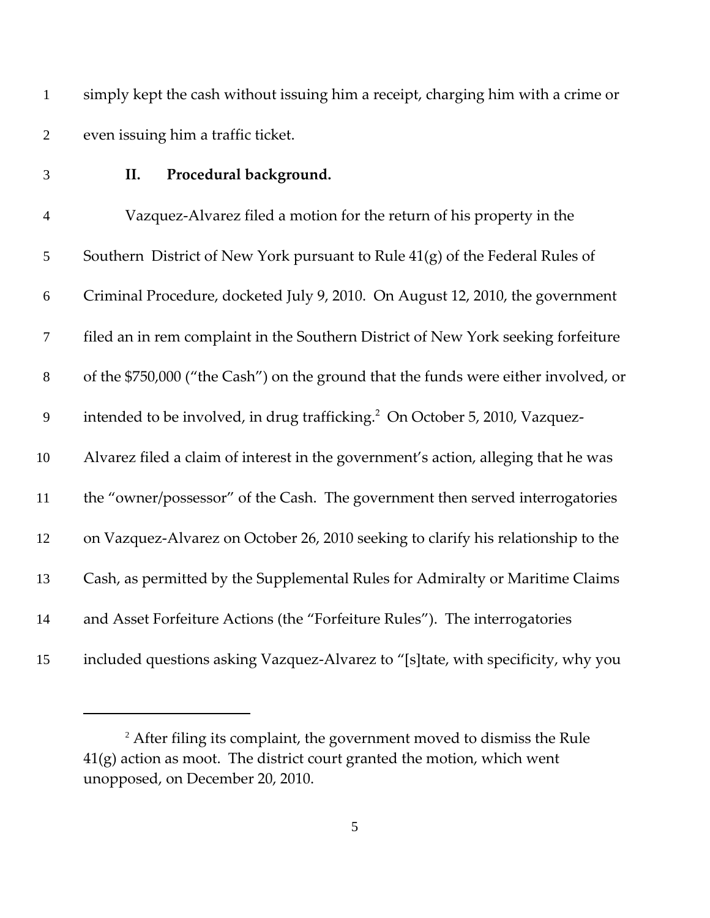simply kept the cash without issuing him a receipt, charging him with a crime or even issuing him a traffic ticket.

## **II. Procedural background.**

 Vazquez‐Alvarez filed a motion for the return of his property in the Southern District of New York pursuant to Rule 41(g) of the Federal Rules of Criminal Procedure, docketed July 9, 2010.On August 12, 2010, the government filed an in rem complaint in the Southern District of New York seeking forfeiture of the \$750,000 ("the Cash") on the ground that the funds were either involved, or 9 intended to be involved, in drug trafficking.<sup>2</sup> On October 5, 2010, Vazquez- Alvarez filed a claim of interest in the government's action, alleging that he was the "owner/possessor" of the Cash. The government then served interrogatories on Vazquez‐Alvarez on October 26, 2010 seeking to clarify his relationship to the Cash, as permitted by the Supplemental Rules for Admiralty or Maritime Claims and Asset Forfeiture Actions (the "Forfeiture Rules").The interrogatories included questions asking Vazquez‐Alvarez to "[s]tate, with specificity, why you

<sup>&</sup>lt;sup>2</sup> After filing its complaint, the government moved to dismiss the Rule  $41(g)$  action as moot. The district court granted the motion, which went unopposed, on December 20, 2010.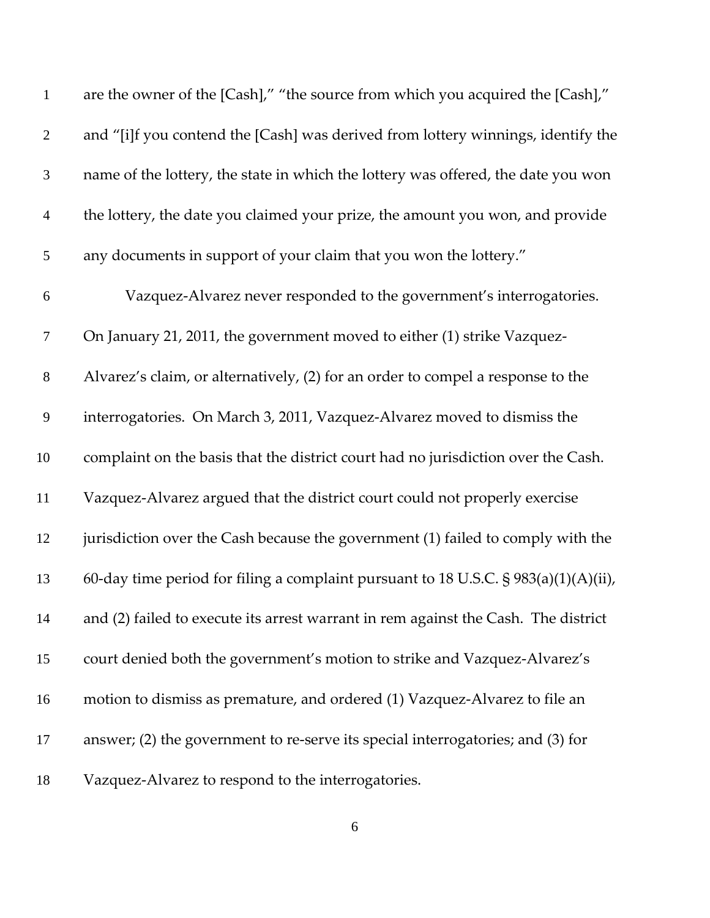| $\mathbf{1}$   | are the owner of the [Cash]," "the source from which you acquired the [Cash],"          |
|----------------|-----------------------------------------------------------------------------------------|
| $\overline{2}$ | and "[i]f you contend the [Cash] was derived from lottery winnings, identify the        |
| 3              | name of the lottery, the state in which the lottery was offered, the date you won       |
| $\overline{4}$ | the lottery, the date you claimed your prize, the amount you won, and provide           |
| 5              | any documents in support of your claim that you won the lottery."                       |
| 6              | Vazquez-Alvarez never responded to the government's interrogatories.                    |
| $\tau$         | On January 21, 2011, the government moved to either (1) strike Vazquez-                 |
| $8\,$          | Alvarez's claim, or alternatively, (2) for an order to compel a response to the         |
| 9              | interrogatories. On March 3, 2011, Vazquez-Alvarez moved to dismiss the                 |
| 10             | complaint on the basis that the district court had no jurisdiction over the Cash.       |
| 11             | Vazquez-Alvarez argued that the district court could not properly exercise              |
| 12             | jurisdiction over the Cash because the government (1) failed to comply with the         |
| 13             | 60-day time period for filing a complaint pursuant to 18 U.S.C. $\S 983(a)(1)(A)(ii)$ , |
| 14             | and (2) failed to execute its arrest warrant in rem against the Cash. The district      |
| 15             | court denied both the government's motion to strike and Vazquez-Alvarez's               |
| 16             | motion to dismiss as premature, and ordered (1) Vazquez-Alvarez to file an              |
| 17             | answer; $(2)$ the government to re-serve its special interrogatories; and $(3)$ for     |
| 18             | Vazquez-Alvarez to respond to the interrogatories.                                      |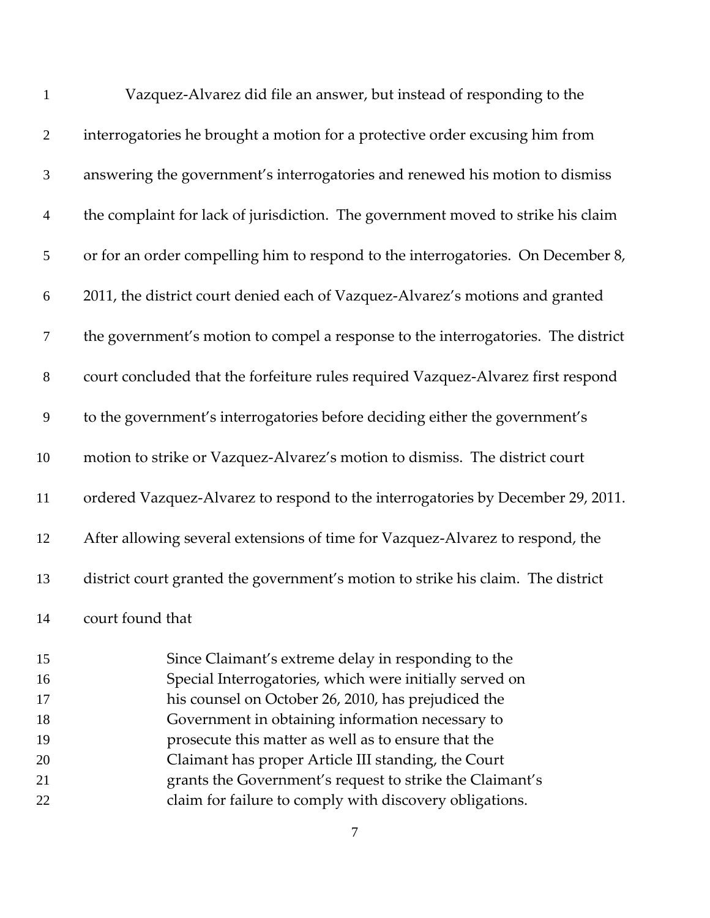| $\mathbf{1}$   | Vazquez-Alvarez did file an answer, but instead of responding to the              |
|----------------|-----------------------------------------------------------------------------------|
| $\overline{2}$ | interrogatories he brought a motion for a protective order excusing him from      |
| $\mathfrak{Z}$ | answering the government's interrogatories and renewed his motion to dismiss      |
| $\overline{4}$ | the complaint for lack of jurisdiction. The government moved to strike his claim  |
| 5              | or for an order compelling him to respond to the interrogatories. On December 8,  |
| 6              | 2011, the district court denied each of Vazquez-Alvarez's motions and granted     |
| $\tau$         | the government's motion to compel a response to the interrogatories. The district |
| $8\,$          | court concluded that the forfeiture rules required Vazquez-Alvarez first respond  |
| 9              | to the government's interrogatories before deciding either the government's       |
| 10             | motion to strike or Vazquez-Alvarez's motion to dismiss. The district court       |
| 11             | ordered Vazquez-Alvarez to respond to the interrogatories by December 29, 2011.   |
| 12             | After allowing several extensions of time for Vazquez-Alvarez to respond, the     |
| 13             | district court granted the government's motion to strike his claim. The district  |
| 14             | court found that                                                                  |
| 15             | Since Claimant's extreme delay in responding to the                               |
| 16             | Special Interrogatories, which were initially served on                           |
| 17             | his counsel on October 26, 2010, has prejudiced the                               |
| 18             | Government in obtaining information necessary to                                  |
| 19             | prosecute this matter as well as to ensure that the                               |
|                |                                                                                   |

- Claimant has proper Article III standing, the Court grants the Government's request to strike the Claimant's
- claim for failure to comply with discovery obligations.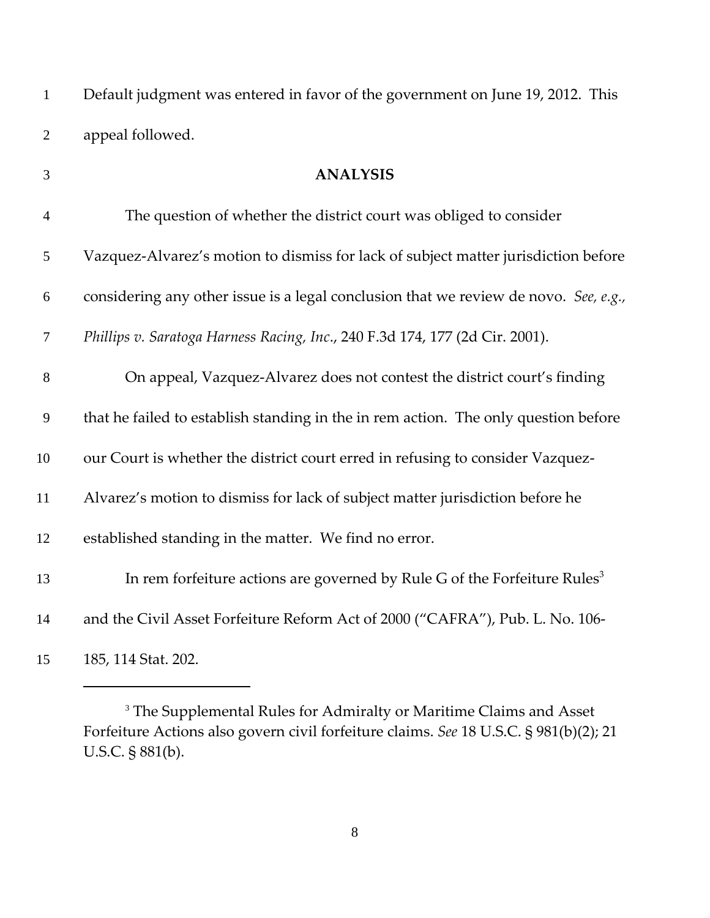Default judgment was entered in favor of the government on June 19, 2012. This appeal followed.

| 3              | <b>ANALYSIS</b>                                                                       |
|----------------|---------------------------------------------------------------------------------------|
| $\overline{4}$ | The question of whether the district court was obliged to consider                    |
| 5              | Vazquez-Alvarez's motion to dismiss for lack of subject matter jurisdiction before    |
| 6              | considering any other issue is a legal conclusion that we review de novo. See, e.g.,  |
| $\overline{7}$ | Phillips v. Saratoga Harness Racing, Inc., 240 F.3d 174, 177 (2d Cir. 2001).          |
| $8\,$          | On appeal, Vazquez-Alvarez does not contest the district court's finding              |
| 9              | that he failed to establish standing in the in rem action. The only question before   |
| 10             | our Court is whether the district court erred in refusing to consider Vazquez-        |
| 11             | Alvarez's motion to dismiss for lack of subject matter jurisdiction before he         |
| 12             | established standing in the matter. We find no error.                                 |
| 13             | In rem forfeiture actions are governed by Rule G of the Forfeiture Rules <sup>3</sup> |
| 14             | and the Civil Asset Forfeiture Reform Act of 2000 ("CAFRA"), Pub. L. No. 106-         |
| 15             | 185, 114 Stat. 202.                                                                   |

<sup>&</sup>lt;sup>3</sup> The Supplemental Rules for Admiralty or Maritime Claims and Asset Forfeiture Actions also govern civil forfeiture claims. *See* 18 U.S.C. § 981(b)(2); 21 U.S.C. § 881(b).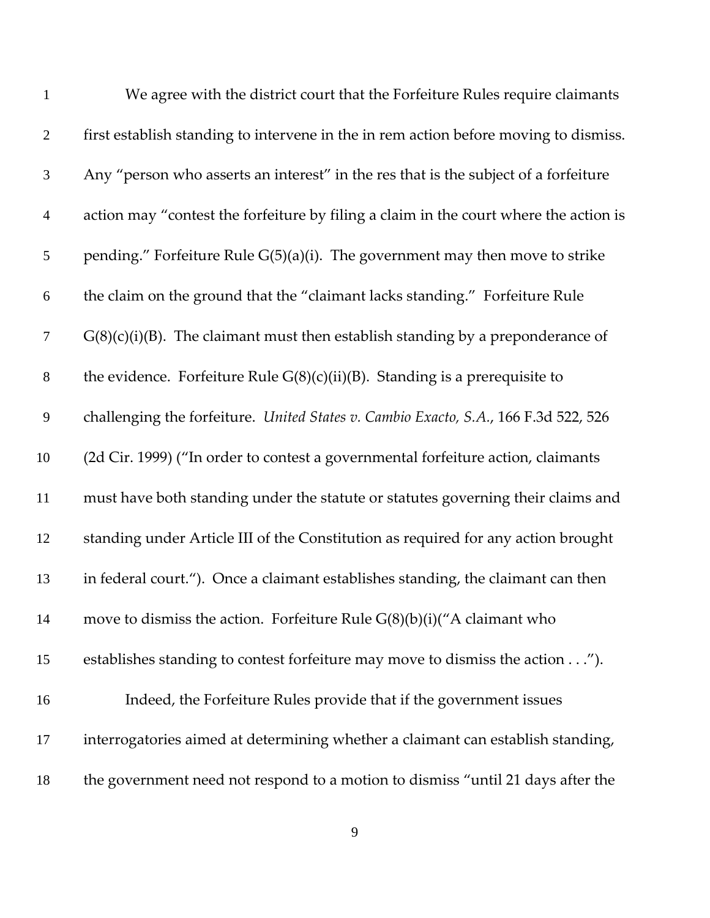| $\mathbf{1}$   | We agree with the district court that the Forfeiture Rules require claimants          |
|----------------|---------------------------------------------------------------------------------------|
| $\overline{2}$ | first establish standing to intervene in the in rem action before moving to dismiss.  |
| $\mathfrak{Z}$ | Any "person who asserts an interest" in the res that is the subject of a forfeiture   |
| $\overline{4}$ | action may "contest the forfeiture by filing a claim in the court where the action is |
| 5              | pending." Forfeiture Rule G(5)(a)(i). The government may then move to strike          |
| 6              | the claim on the ground that the "claimant lacks standing." Forfeiture Rule           |
| $\tau$         | $G(8)(c)(i)(B)$ . The claimant must then establish standing by a preponderance of     |
| $8\,$          | the evidence. Forfeiture Rule $G(8)(c)(ii)(B)$ . Standing is a prerequisite to        |
| 9              | challenging the forfeiture. United States v. Cambio Exacto, S.A., 166 F.3d 522, 526   |
| 10             | (2d Cir. 1999) ("In order to contest a governmental forfeiture action, claimants      |
| 11             | must have both standing under the statute or statutes governing their claims and      |
| 12             | standing under Article III of the Constitution as required for any action brought     |
| 13             | in federal court."). Once a claimant establishes standing, the claimant can then      |
| 14             | move to dismiss the action. Forfeiture Rule $G(8)(b)(i)(''A$ claimant who             |
| 15             | establishes standing to contest forfeiture may move to dismiss the action").          |
| 16             | Indeed, the Forfeiture Rules provide that if the government issues                    |
| 17             | interrogatories aimed at determining whether a claimant can establish standing,       |
| 18             | the government need not respond to a motion to dismiss "until 21 days after the       |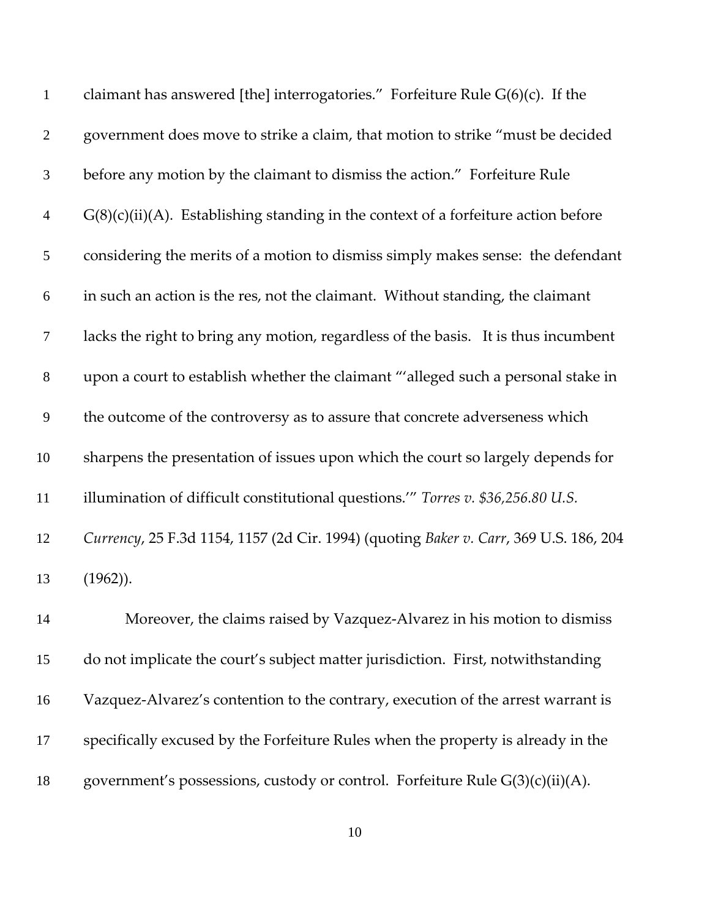| $\mathbf{1}$     | claimant has answered [the] interrogatories." Forfeiture Rule $G(6)(c)$ . If the      |
|------------------|---------------------------------------------------------------------------------------|
| $\overline{2}$   | government does move to strike a claim, that motion to strike "must be decided        |
| $\mathfrak{Z}$   | before any motion by the claimant to dismiss the action." Forfeiture Rule             |
| $\overline{4}$   | $G(8)(c)(ii)(A)$ . Establishing standing in the context of a forfeiture action before |
| 5                | considering the merits of a motion to dismiss simply makes sense: the defendant       |
| $\boldsymbol{6}$ | in such an action is the res, not the claimant. Without standing, the claimant        |
| $\tau$           | lacks the right to bring any motion, regardless of the basis. It is thus incumbent    |
| $\,8\,$          | upon a court to establish whether the claimant "'alleged such a personal stake in     |
| 9                | the outcome of the controversy as to assure that concrete adverseness which           |
| 10               | sharpens the presentation of issues upon which the court so largely depends for       |
| 11               | illumination of difficult constitutional questions." Torres v. \$36,256.80 U.S.       |
| 12               | Currency, 25 F.3d 1154, 1157 (2d Cir. 1994) (quoting Baker v. Carr, 369 U.S. 186, 204 |
| 13               | $(1962)$ ).                                                                           |
| 14               | Moreover, the claims raised by Vazquez-Alvarez in his motion to dismiss               |
| 15               | do not implicate the court's subject matter jurisdiction. First, notwithstanding      |
| 16               | Vazquez-Alvarez's contention to the contrary, execution of the arrest warrant is      |
| 17               | specifically excused by the Forfeiture Rules when the property is already in the      |
| 18               | government's possessions, custody or control. Forfeiture Rule G(3)(c)(ii)(A).         |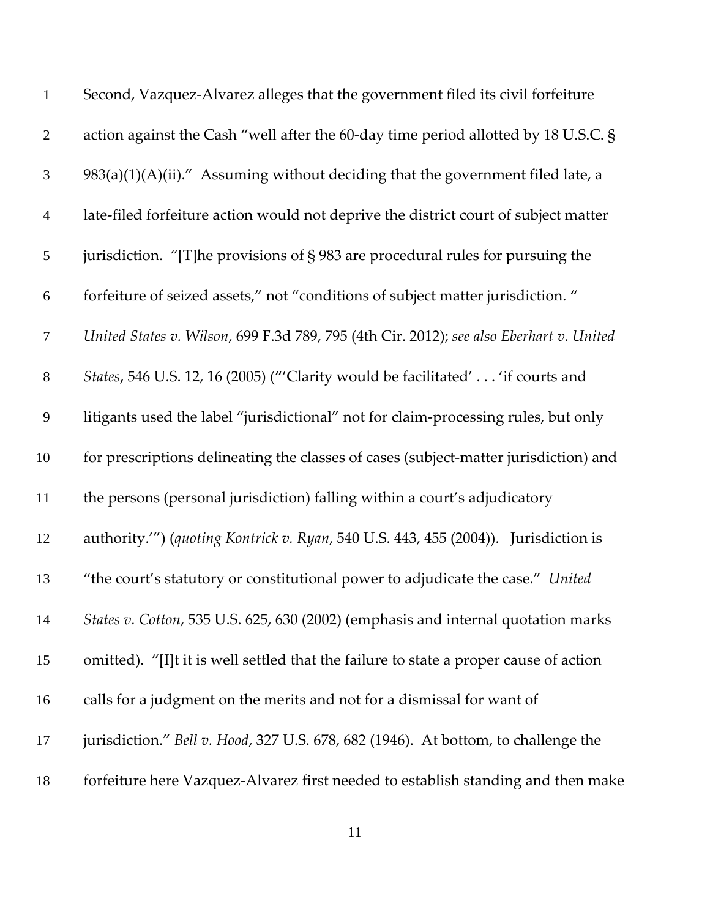| $\mathbf{1}$   | Second, Vazquez-Alvarez alleges that the government filed its civil forfeiture          |
|----------------|-----------------------------------------------------------------------------------------|
| $\overline{2}$ | action against the Cash "well after the 60-day time period allotted by 18 U.S.C. §      |
| 3              | $983(a)(1)(A)(ii)$ ." Assuming without deciding that the government filed late, a       |
| $\overline{4}$ | late-filed forfeiture action would not deprive the district court of subject matter     |
| $\mathfrak{S}$ | jurisdiction. "[T] he provisions of $\S$ 983 are procedural rules for pursuing the      |
| 6              | forfeiture of seized assets," not "conditions of subject matter jurisdiction."          |
| $\overline{7}$ | United States v. Wilson, 699 F.3d 789, 795 (4th Cir. 2012); see also Eberhart v. United |
| $8\,$          | States, 546 U.S. 12, 16 (2005) ("'Clarity would be facilitated' 'if courts and          |
| 9              | litigants used the label "jurisdictional" not for claim-processing rules, but only      |
| 10             | for prescriptions delineating the classes of cases (subject-matter jurisdiction) and    |
| 11             | the persons (personal jurisdiction) falling within a court's adjudicatory               |
| 12             | authority."") (quoting Kontrick v. Ryan, 540 U.S. 443, 455 (2004)). Jurisdiction is     |
| 13             | "the court's statutory or constitutional power to adjudicate the case." United          |
| 14             | States v. Cotton, 535 U.S. 625, 630 (2002) (emphasis and internal quotation marks       |
| 15             | omitted). "[I]t it is well settled that the failure to state a proper cause of action   |
| 16             | calls for a judgment on the merits and not for a dismissal for want of                  |
| 17             | jurisdiction." Bell v. Hood, 327 U.S. 678, 682 (1946). At bottom, to challenge the      |
| 18             | forfeiture here Vazquez-Alvarez first needed to establish standing and then make        |